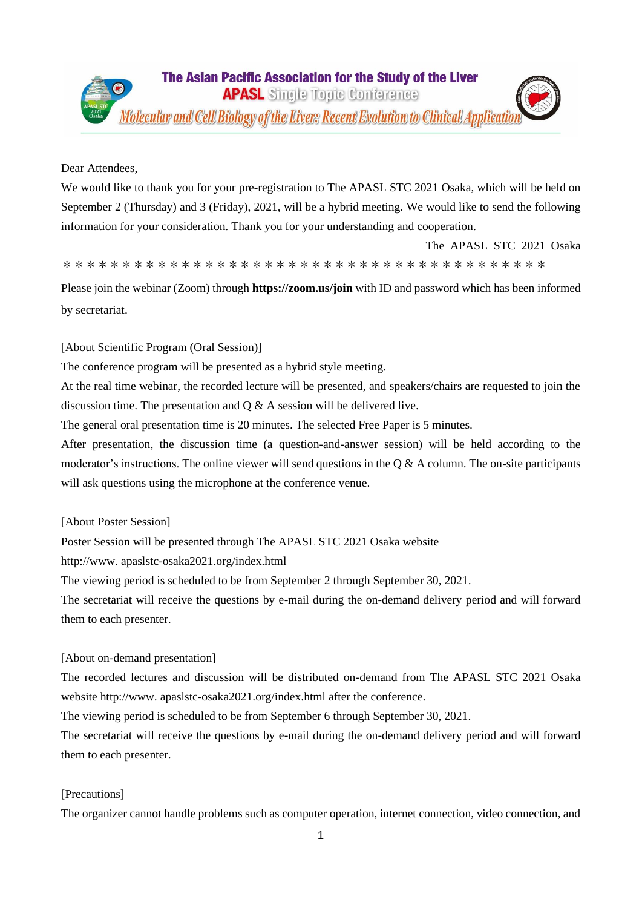## Dear Attendees,

We would like to thank you for your pre-registration to The APASL STC 2021 Osaka, which will be held on September 2 (Thursday) and 3 (Friday), 2021, will be a hybrid meeting. We would like to send the following information for your consideration. Thank you for your understanding and cooperation.

The APASL STC 2021 Osaka

\*\*\*\*\*\*\*\*\*\*\*\*\*\*\*\*\*\*\*\*\*\*\*\*\*\*\*\*\*\*\*\*\*\*\*\*\*

Please join the webinar (Zoom) through **https://zoom.us/join** with ID and password which has been informed by secretariat.

## [About Scientific Program (Oral Session)]

The conference program will be presented as a hybrid style meeting.

At the real time webinar, the recorded lecture will be presented, and speakers/chairs are requested to join the discussion time. The presentation and Q & A session will be delivered live.

The general oral presentation time is 20 minutes. The selected Free Paper is 5 minutes.

After presentation, the discussion time (a question-and-answer session) will be held according to the moderator's instructions. The online viewer will send questions in the  $\alpha \& A$  column. The on-site participants will ask questions using the microphone at the conference venue.

### [About Poster Session]

Poster Session will be presented through The APASL STC 2021 Osaka website

http://www. apaslstc-osaka2021.org/index.html

The viewing period is scheduled to be from September 2 through September 30, 2021.

The secretariat will receive the questions by e-mail during the on-demand delivery period and will forward them to each presenter.

# [About on-demand presentation]

The recorded lectures and discussion will be distributed on-demand from The APASL STC 2021 Osaka website http://www. apaslstc-osaka2021.org/index.html after the conference.

The viewing period is scheduled to be from September 6 through September 30, 2021.

The secretariat will receive the questions by e-mail during the on-demand delivery period and will forward them to each presenter.

### [Precautions]

The organizer cannot handle problems such as computer operation, internet connection, video connection, and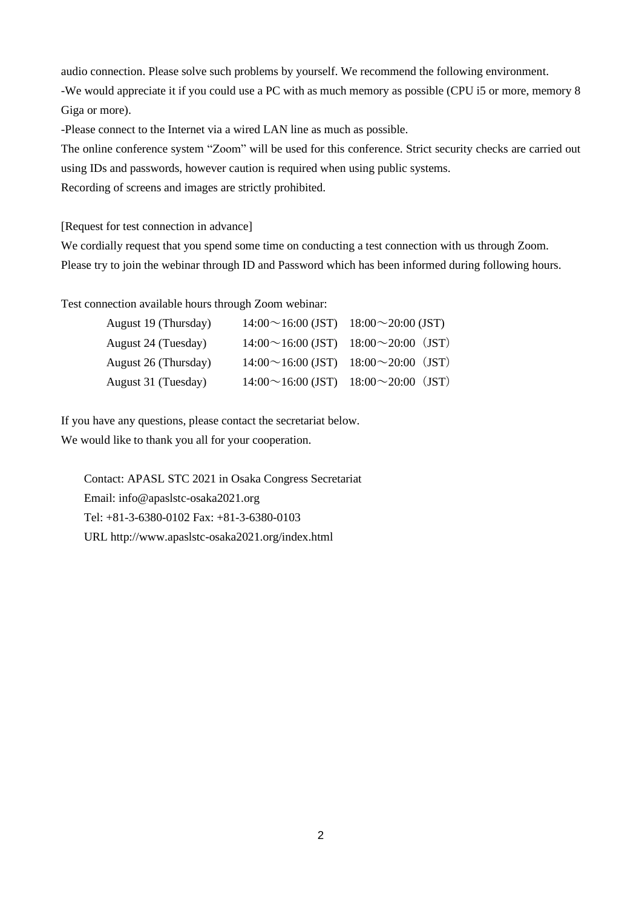audio connection. Please solve such problems by yourself. We recommend the following environment.

-We would appreciate it if you could use a PC with as much memory as possible (CPU i5 or more, memory 8 Giga or more).

-Please connect to the Internet via a wired LAN line as much as possible.

The online conference system "Zoom" will be used for this conference. Strict security checks are carried out using IDs and passwords, however caution is required when using public systems.

Recording of screens and images are strictly prohibited.

[Request for test connection in advance]

We cordially request that you spend some time on conducting a test connection with us through Zoom. Please try to join the webinar through ID and Password which has been informed during following hours.

Test connection available hours through Zoom webinar:

| August 19 (Thursday) | $14:00 \sim 16:00$ (JST) $18:00 \sim 20:00$ (JST) |
|----------------------|---------------------------------------------------|
| August 24 (Tuesday)  | $14:00 \sim 16:00$ (JST) $18:00 \sim 20:00$ (JST) |
| August 26 (Thursday) | $14:00 \sim 16:00$ (JST) $18:00 \sim 20:00$ (JST) |
| August 31 (Tuesday)  | $14:00 \sim 16:00$ (JST) $18:00 \sim 20:00$ (JST) |

If you have any questions, please contact the secretariat below. We would like to thank you all for your cooperation.

Contact: APASL STC 2021 in Osaka Congress Secretariat Email: info@apaslstc-osaka2021.org Tel: +81-3-6380-0102 Fax: +81-3-6380-0103 URL http://www.apaslstc-osaka2021.org/index.html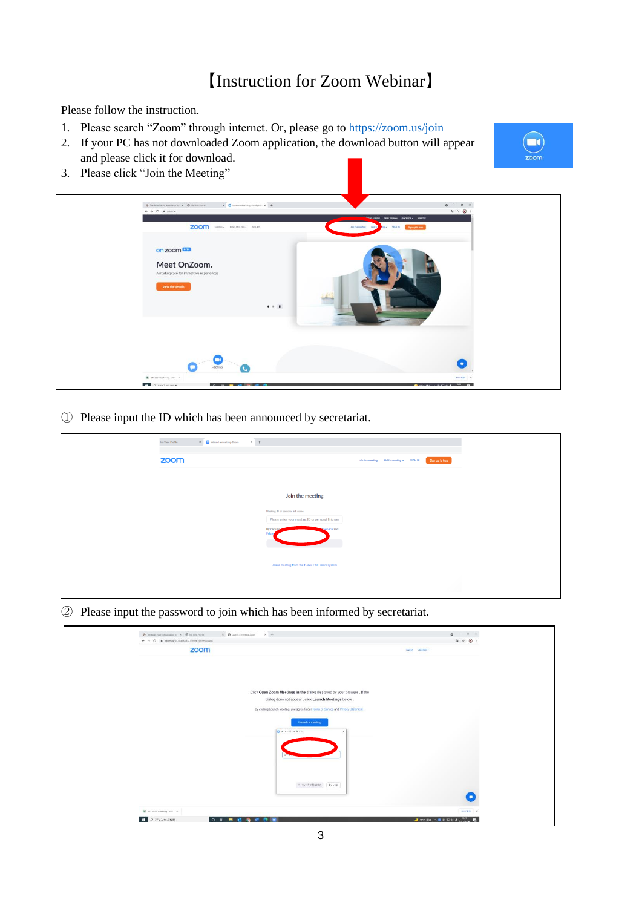# 【Instruction for Zoom Webinar】

Please follow the instruction.

- 1. Please search "Zoom" through internet. Or, please go to<https://zoom.us/join>
- 2. If your PC has not downloaded Zoom application, the download button will appear and please click it for download.
- 3. Please click "Join the Meeting"





① Please input the ID which has been announced by secretariat.

| Ins View Profile | $\times$ +<br>$X = \Box$ Attend a meeting-Zoom                                        |                                                              |
|------------------|---------------------------------------------------------------------------------------|--------------------------------------------------------------|
| zoom             |                                                                                       | Sign up is free<br>Join the meeting Hold a meeting + SIGN IN |
|                  |                                                                                       |                                                              |
|                  | Join the meeting                                                                      |                                                              |
|                  | Meeting ID or personal link name<br>Please enter your meeting ID or personal link nam |                                                              |
|                  | By clicking<br>Service and<br>Priva                                                   |                                                              |
|                  |                                                                                       |                                                              |
|                  | Join a meeting from the H.323 / SIP room system                                       |                                                              |
|                  |                                                                                       |                                                              |
|                  |                                                                                       |                                                              |

② Please input the password to join which has been informed by secretariat.

| $\odot$ The Asian Pacific Association for $X$ $\odot$ $\odot$ fris View Portion | $x - \phi$ (and a metrop Zone $x +$                                                  | $0 - \theta \times$                                                                            |
|---------------------------------------------------------------------------------|--------------------------------------------------------------------------------------|------------------------------------------------------------------------------------------------|
| $\leftarrow$ $\rightarrow$ C $\bullet$ zoomus.[/81445845741?trom=joinfluccess   |                                                                                      | 电 立 〇 1                                                                                        |
|                                                                                 | zoom                                                                                 | support Japanese -                                                                             |
|                                                                                 |                                                                                      |                                                                                                |
|                                                                                 |                                                                                      |                                                                                                |
|                                                                                 |                                                                                      |                                                                                                |
|                                                                                 |                                                                                      |                                                                                                |
|                                                                                 | Click Open Zoom Meetings in the dialog displayed by your browser. If the             |                                                                                                |
|                                                                                 | dialog does not appear, click Launch Meetings below.                                 |                                                                                                |
|                                                                                 |                                                                                      |                                                                                                |
|                                                                                 | By clicking Launch Meeting, you agree to our Terms of Service and Privacy Statement. |                                                                                                |
|                                                                                 | Launch a meeting                                                                     |                                                                                                |
|                                                                                 |                                                                                      |                                                                                                |
|                                                                                 | □ 1-7-0グパスコードを入力                                                                     |                                                                                                |
|                                                                                 |                                                                                      |                                                                                                |
|                                                                                 |                                                                                      |                                                                                                |
|                                                                                 |                                                                                      |                                                                                                |
|                                                                                 |                                                                                      |                                                                                                |
|                                                                                 |                                                                                      |                                                                                                |
|                                                                                 |                                                                                      |                                                                                                |
|                                                                                 | ニーティングに参加する 「キャンセル                                                                   |                                                                                                |
|                                                                                 |                                                                                      | o                                                                                              |
|                                                                                 |                                                                                      |                                                                                                |
| B STC2021OsakaRegubz A                                                          |                                                                                      | <b>FACER X</b>                                                                                 |
| <b>H</b> P ZERADUTME                                                            | ○ □ 图 □ 后 □ 四 图                                                                      | $\rightarrow$ arc #h $\land$ $\bullet$ $\ddot{\circ}$ $\Box$ 01 A $_{\text{nonmax}}$ $\bullet$ |